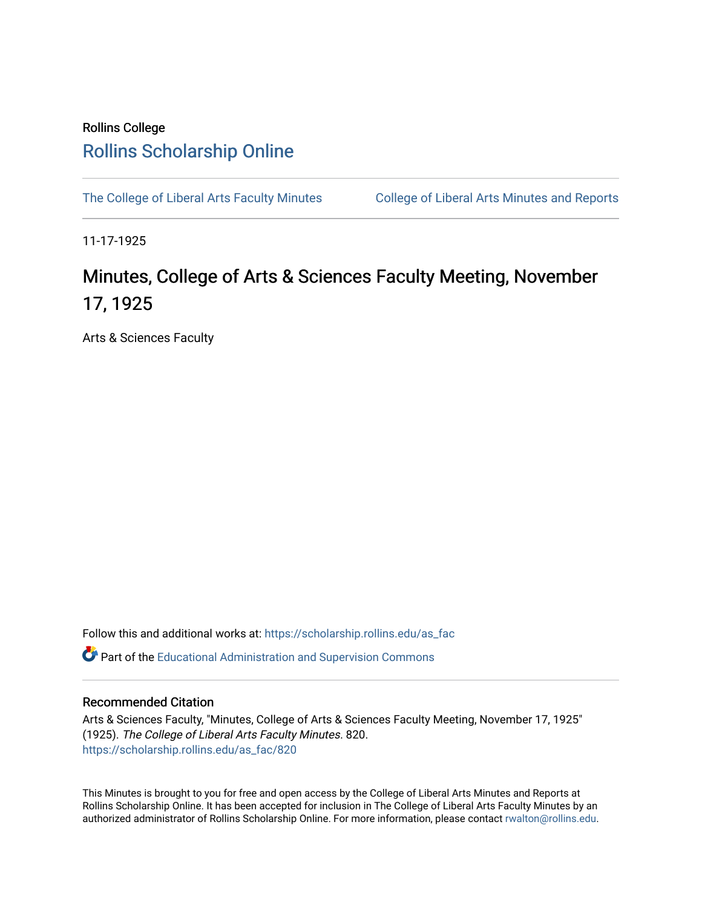## Rollins College [Rollins Scholarship Online](https://scholarship.rollins.edu/)

[The College of Liberal Arts Faculty Minutes](https://scholarship.rollins.edu/as_fac) College of Liberal Arts Minutes and Reports

11-17-1925

## Minutes, College of Arts & Sciences Faculty Meeting, November 17, 1925

Arts & Sciences Faculty

Follow this and additional works at: [https://scholarship.rollins.edu/as\\_fac](https://scholarship.rollins.edu/as_fac?utm_source=scholarship.rollins.edu%2Fas_fac%2F820&utm_medium=PDF&utm_campaign=PDFCoverPages) 

**P** Part of the [Educational Administration and Supervision Commons](http://network.bepress.com/hgg/discipline/787?utm_source=scholarship.rollins.edu%2Fas_fac%2F820&utm_medium=PDF&utm_campaign=PDFCoverPages)

## Recommended Citation

Arts & Sciences Faculty, "Minutes, College of Arts & Sciences Faculty Meeting, November 17, 1925" (1925). The College of Liberal Arts Faculty Minutes. 820. [https://scholarship.rollins.edu/as\\_fac/820](https://scholarship.rollins.edu/as_fac/820?utm_source=scholarship.rollins.edu%2Fas_fac%2F820&utm_medium=PDF&utm_campaign=PDFCoverPages) 

This Minutes is brought to you for free and open access by the College of Liberal Arts Minutes and Reports at Rollins Scholarship Online. It has been accepted for inclusion in The College of Liberal Arts Faculty Minutes by an authorized administrator of Rollins Scholarship Online. For more information, please contact [rwalton@rollins.edu](mailto:rwalton@rollins.edu).